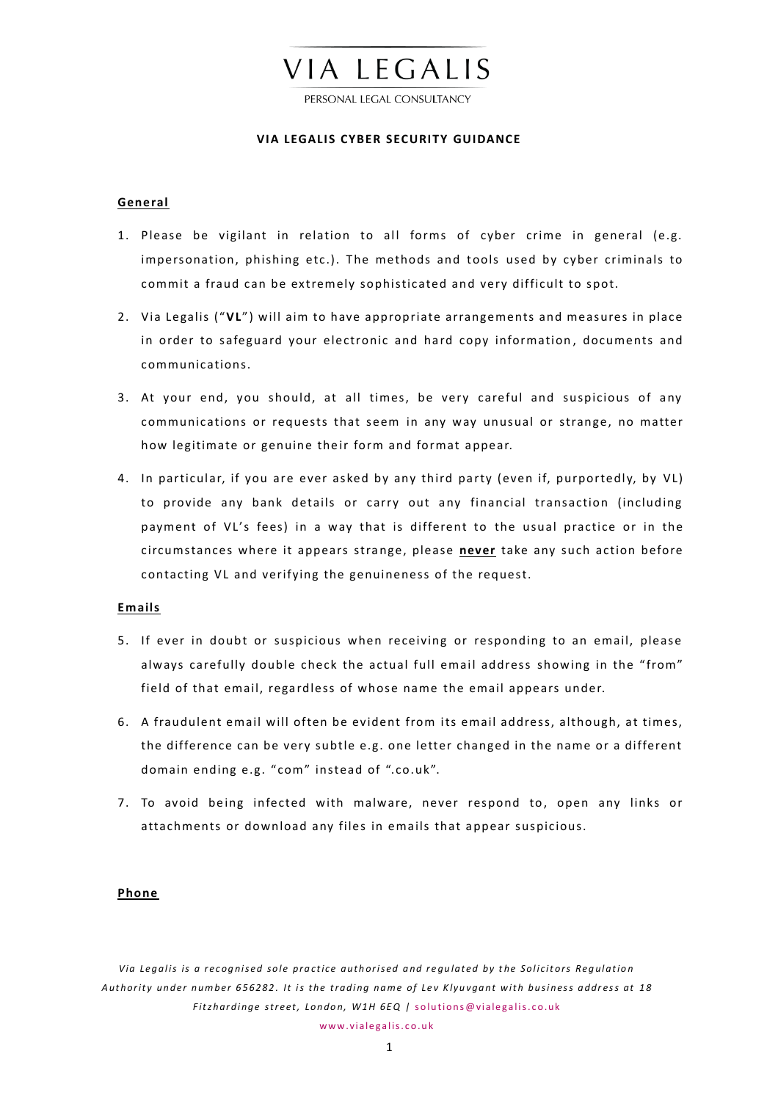

PERSONAL LEGAL CONSULTANCY

# **VIA LEGALIS CYBER SECURITY GUIDANCE**

## **Gene ral**

- 1. Please be vigilant in relation to all forms of cyber crime in general (e.g. impersonation, phishing etc.). The methods and tools used by cyber criminals to commit a fraud can be extremely sophisticated and very difficult to spot.
- 2. Via Legalis ("**VL**") will aim to have appropriate arrangements and measures in place in order to safeguard your electronic and hard copy information, documents and communications.
- 3. At your end, you should, at all times, be very careful and suspicious of a ny communications or requests that seem in any way unusual or strange, no matter how legitimate or genuine their form and format appear.
- 4. In particular, if you are ever asked by any third party (even if, purportedly, by VL) to provide any bank details or carry out any financial transaction (including payment of VL's fees) in a way that is different to the usual practice or in the circumstances where it appears stra nge, please **never** take any such action before contacting VL and verifying the genuineness of the request.

## **Emails**

- 5. If ever in doubt or suspicious when receiving or responding to an email, please always carefully double check the actual full email address showing in the "from" field of that email, regardless of whose name the email appears under.
- 6. A fraudulent email will often be evident from its email address, although, at times, the difference can be very subtle e.g. one letter changed in the name or a different domain ending e.g. " com" instead of ".co.uk".
- 7. To avoid being infected with malware, never respond to, open any links or attachments or download any files in emails that appear suspicious.

### **Phone**

Via Legalis is a recognised sole practice authorised and regulated by the Solicitors Regulation Authority under number 656282. It is the trading name of Lev Klyuvgant with business address at 18 *Fitzhardinge street, London, W1H 6EQ | solutions@vialegalis.co.uk*